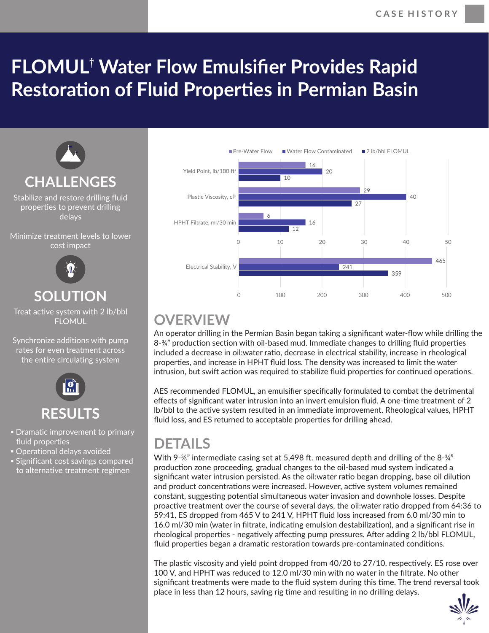## **FLOMUL**†  **Water Flow Emulsifier Provides Rapid Restoration of Fluid Properties in Permian Basin**



Stabilize and restore drilling fluid properties to prevent drilling delays

Minimize treatment levels to lower cost impact



## **SOLUTION**

Treat active system with 2 lb/bbl FLOMUL

Synchronize additions with pump rates for even treatment across the entire circulating system



- Dramatic improvement to primary fluid properties
- **Operational delays avoided**
- **Example 1 Significant cost savings compared** to alternative treatment regimen



## **OVERVIEW**

An operator drilling in the Permian Basin began taking a significant water-flow while drilling the 8-¼" production section with oil-based mud. Immediate changes to drilling fluid properties included a decrease in oil:water ratio, decrease in electrical stability, increase in rheological properঞes, and increase in HPHT fluid loss. The density was increased to limit the water intrusion, but swift action was required to stabilize fluid properties for continued operations.

AES recommended FLOMUL, an emulsifier specifically formulated to combat the detrimental effects of significant water intrusion into an invert emulsion fluid. A one-time treatment of 2 lb/bbl to the active system resulted in an immediate improvement. Rheological values, HPHT fluid loss, and ES returned to acceptable properties for drilling ahead.

## **DETAILS**

With 9- $\frac{5}{8}$ " intermediate casing set at 5,498 ft. measured depth and drilling of the 8- $\frac{3}{4}$ " production zone proceeding, gradual changes to the oil-based mud system indicated a significant water intrusion persisted. As the oil:water ratio began dropping, base oil dilution and product concentrations were increased. However, active system volumes remained constant, suggesting potential simultaneous water invasion and downhole losses. Despite proactive treatment over the course of several days, the oil:water ratio dropped from 64:36 to 59:41, ES dropped from 465 V to 241 V, HPHT fluid loss increased from 6.0 ml/30 min to 16.0 ml/30 min (water in filtrate, indicating emulsion destabilization), and a significant rise in rheological properties - negatively affecting pump pressures. After adding 2 lb/bbl FLOMUL, fluid properties began a dramatic restoration towards pre-contaminated conditions.

The plastic viscosity and yield point dropped from 40/20 to 27/10, respectively. ES rose over 100 V, and HPHT was reduced to 12.0 ml/30 min with no water in the filtrate. No other significant treatments were made to the fluid system during this time. The trend reversal took place in less than 12 hours, saving rig time and resulting in no drilling delays.